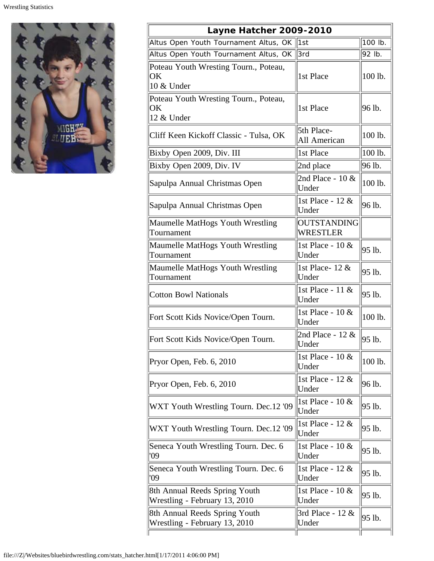

| Layne Hatcher 2009-2010                                        |                                       |         |  |  |
|----------------------------------------------------------------|---------------------------------------|---------|--|--|
| Altus Open Youth Tournament Altus, OK                          | 1st                                   | 100 lb. |  |  |
| Altus Open Youth Tournament Altus, OK                          | 3rd                                   | 92 lb.  |  |  |
| Poteau Youth Wresting Tourn., Poteau,<br>OK<br>10 & Under      | 1st Place                             | 100 lb. |  |  |
| Poteau Youth Wresting Tourn., Poteau,<br>OK<br>12 & Under      | 1st Place                             | 96 lb.  |  |  |
| Cliff Keen Kickoff Classic - Tulsa, OK                         | 5th Place-<br>All American            | 100 lb. |  |  |
| Bixby Open 2009, Div. III                                      | 1st Place                             | 100 lb. |  |  |
| Bixby Open 2009, Div. IV                                       | 2nd place                             | 96 lb.  |  |  |
| Sapulpa Annual Christmas Open                                  | 2nd Place - $10 \&$<br>Under          | 100 lb. |  |  |
| Sapulpa Annual Christmas Open                                  | 1st Place - 12 &<br>Under             | 96 lb.  |  |  |
| Maumelle MatHogs Youth Wrestling<br>Tournament                 | <b>OUTSTANDING</b><br><b>WRESTLER</b> |         |  |  |
| Maumelle MatHogs Youth Wrestling<br>Tournament                 | 1st Place - 10 &<br>Under             | 95 lb.  |  |  |
| Maumelle MatHogs Youth Wrestling<br>Tournament                 | 1st Place - 12 &<br>Under             | 95 lb.  |  |  |
| <b>Cotton Bowl Nationals</b>                                   | 1st Place - 11 &<br>Under             | 95 lb.  |  |  |
| Fort Scott Kids Novice/Open Tourn.                             | 1st Place - 10 &<br>Under             | 100 lb. |  |  |
| Fort Scott Kids Novice/Open Tourn.                             | 2nd Place - 12 &<br>Under             | 95 lb.  |  |  |
| Pryor Open, Feb. 6, 2010                                       | 1st Place - $10 \&$<br>Under          | 100 lb. |  |  |
| Pryor Open, Feb. 6, 2010                                       | 1st Place - 12 &<br>Under             | 96 lb.  |  |  |
| WXT Youth Wrestling Tourn. Dec.12 '09                          | 1st Place - 10 &<br>Under             | 95 lb.  |  |  |
| WXT Youth Wrestling Tourn. Dec.12 '09                          | 1st Place - 12 &<br>Under             | 95 lb.  |  |  |
| Seneca Youth Wrestling Tourn. Dec. 6<br>'09                    | 1st Place - $10 \&$<br>Under          | 95 lb.  |  |  |
| Seneca Youth Wrestling Tourn. Dec. 6<br>'09                    | 1st Place - 12 &<br>Under             | 95 lb.  |  |  |
| 8th Annual Reeds Spring Youth<br>Wrestling - February 13, 2010 | 1st Place - $10 \&$<br>Under          | 95 lb.  |  |  |
| 8th Annual Reeds Spring Youth<br>Wrestling - February 13, 2010 | 3rd Place - 12 &<br>Under             | 95 lb.  |  |  |
|                                                                |                                       |         |  |  |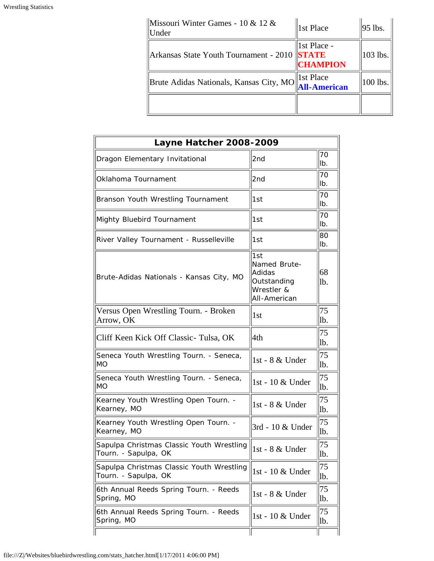| Missouri Winter Games - 10 & 12 &<br>Under   | 1st Place                        | $ 95$ lbs.  |
|----------------------------------------------|----------------------------------|-------------|
| Arkansas State Youth Tournament - 2010 STATE | 1st Place -<br><b>CHAMPION</b>   | $103$ lbs.  |
| Brute Adidas Nationals, Kansas City, MO      | 1st Place<br><b>All-American</b> | $ 100$ lbs. |
|                                              |                                  |             |

| <b>Layne Hatcher 2008-2009</b>                                    |                                                                            |             |  |  |
|-------------------------------------------------------------------|----------------------------------------------------------------------------|-------------|--|--|
| Dragon Elementary Invitational                                    | 2nd                                                                        | 70<br>llb.  |  |  |
| Oklahoma Tournament                                               | 2nd                                                                        | 70<br>llb.  |  |  |
| Branson Youth Wrestling Tournament                                | 1st                                                                        | 70<br>lb.   |  |  |
| Mighty Bluebird Tournament                                        | 1st                                                                        | 70<br>llb.  |  |  |
| River Valley Tournament - Russelleville                           | 1st                                                                        | 180<br>llb. |  |  |
| Brute-Adidas Nationals - Kansas City, MO                          | 1st<br>Named Brute-<br>Adidas<br>Outstanding<br>Wrestler &<br>All-American | 68<br>lb.   |  |  |
| Versus Open Wrestling Tourn. - Broken<br>Arrow, OK                | 1 <sub>st</sub>                                                            | 75<br>lb.   |  |  |
| Cliff Keen Kick Off Classic-Tulsa, OK                             | 4th                                                                        | 75<br>lb.   |  |  |
| Seneca Youth Wrestling Tourn. - Seneca,<br>MO                     | 1st - 8 & Under                                                            | 75<br>lb.   |  |  |
| Seneca Youth Wrestling Tourn. - Seneca,<br>MO                     | 1st - 10 & Under                                                           | 75<br>lb.   |  |  |
| Kearney Youth Wrestling Open Tourn. -<br>Kearney, MO              | 1st - 8 & Under                                                            | 75<br>lb.   |  |  |
| Kearney Youth Wrestling Open Tourn. -<br>Kearney, MO              | 3rd - 10 & Under                                                           | 75<br>lb.   |  |  |
| Sapulpa Christmas Classic Youth Wrestling<br>Tourn. - Sapulpa, OK | 1st - 8 & Under                                                            | 75<br> lb.  |  |  |
| Sapulpa Christmas Classic Youth Wrestling<br>Tourn. - Sapulpa, OK | 1st - 10 & Under                                                           | 75<br>lb.   |  |  |
| 6th Annual Reeds Spring Tourn. - Reeds<br>Spring, MO              | 1st - 8 & Under                                                            | 75<br>lb.   |  |  |
| 6th Annual Reeds Spring Tourn. - Reeds<br>Spring, MO              | 1st - 10 & Under                                                           | 75<br>lb.   |  |  |
|                                                                   |                                                                            |             |  |  |